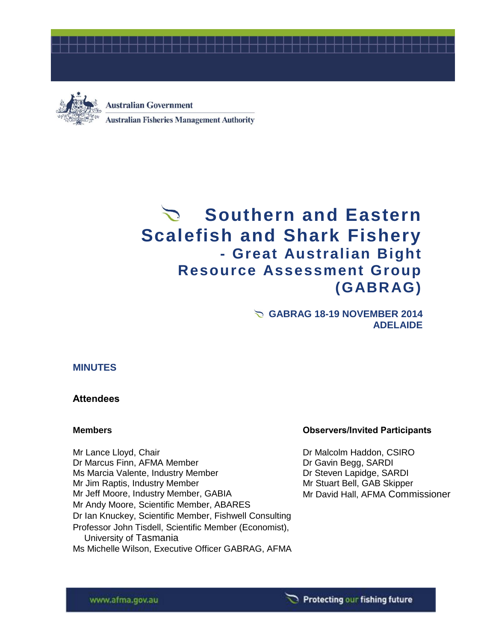



**Australian Government Australian Fisheries Management Authority** 

# **Southern and Eastern Scalefish and Shark Fishery - Great Australian Bight Resource Assessment Group (GABRAG)**

**GABRAG 18-19 NOVEMBER 2014 ADELAIDE**

#### **MINUTES**

#### **Attendees**

Mr Lance Lloyd, Chair Dr Malcolm Haddon, CSIRO Dr Marcus Finn, AFMA Member Dr Gavin Begg, SARDI Ms Marcia Valente, Industry Member Dr Steven Lapidge, SARDI Mr Jim Raptis, Industry Member Manuel Allen Mr Stuart Bell, GAB Skipper Mr Jeff Moore, Industry Member, GABIA Mr David Hall, AFMA Commissioner Mr Andy Moore, Scientific Member, ABARES Dr Ian Knuckey, Scientific Member, Fishwell Consulting Professor John Tisdell, Scientific Member (Economist), University of Tasmania Ms Michelle Wilson, Executive Officer GABRAG, AFMA

#### **Members Observers/Invited Participants**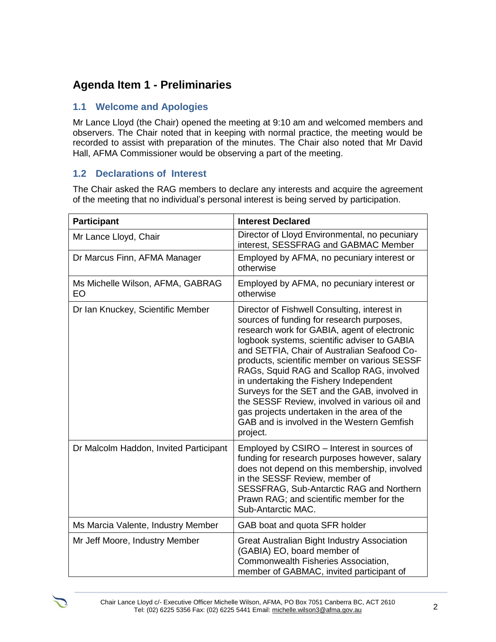## **Agenda Item 1 - Preliminaries**

### **1.1 Welcome and Apologies**

Mr Lance Lloyd (the Chair) opened the meeting at 9:10 am and welcomed members and observers. The Chair noted that in keeping with normal practice, the meeting would be recorded to assist with preparation of the minutes. The Chair also noted that Mr David Hall, AFMA Commissioner would be observing a part of the meeting.

### **1.2 Declarations of Interest**

The Chair asked the RAG members to declare any interests and acquire the agreement of the meeting that no individual's personal interest is being served by participation.

| <b>Participant</b>                     | <b>Interest Declared</b>                                                                                                                                                                                                                                                                                                                                                                                                                                                                                                                                                                 |
|----------------------------------------|------------------------------------------------------------------------------------------------------------------------------------------------------------------------------------------------------------------------------------------------------------------------------------------------------------------------------------------------------------------------------------------------------------------------------------------------------------------------------------------------------------------------------------------------------------------------------------------|
| Mr Lance Lloyd, Chair                  | Director of Lloyd Environmental, no pecuniary<br>interest, SESSFRAG and GABMAC Member                                                                                                                                                                                                                                                                                                                                                                                                                                                                                                    |
| Dr Marcus Finn, AFMA Manager           | Employed by AFMA, no pecuniary interest or<br>otherwise                                                                                                                                                                                                                                                                                                                                                                                                                                                                                                                                  |
| Ms Michelle Wilson, AFMA, GABRAG<br>EO | Employed by AFMA, no pecuniary interest or<br>otherwise                                                                                                                                                                                                                                                                                                                                                                                                                                                                                                                                  |
| Dr Ian Knuckey, Scientific Member      | Director of Fishwell Consulting, interest in<br>sources of funding for research purposes,<br>research work for GABIA, agent of electronic<br>logbook systems, scientific adviser to GABIA<br>and SETFIA, Chair of Australian Seafood Co-<br>products, scientific member on various SESSF<br>RAGs, Squid RAG and Scallop RAG, involved<br>in undertaking the Fishery Independent<br>Surveys for the SET and the GAB, involved in<br>the SESSF Review, involved in various oil and<br>gas projects undertaken in the area of the<br>GAB and is involved in the Western Gemfish<br>project. |
| Dr Malcolm Haddon, Invited Participant | Employed by CSIRO - Interest in sources of<br>funding for research purposes however, salary<br>does not depend on this membership, involved<br>in the SESSF Review, member of<br>SESSFRAG, Sub-Antarctic RAG and Northern<br>Prawn RAG; and scientific member for the<br>Sub-Antarctic MAC.                                                                                                                                                                                                                                                                                              |
| Ms Marcia Valente, Industry Member     | GAB boat and quota SFR holder                                                                                                                                                                                                                                                                                                                                                                                                                                                                                                                                                            |
| Mr Jeff Moore, Industry Member         | Great Australian Bight Industry Association<br>(GABIA) EO, board member of<br>Commonwealth Fisheries Association,<br>member of GABMAC, invited participant of                                                                                                                                                                                                                                                                                                                                                                                                                            |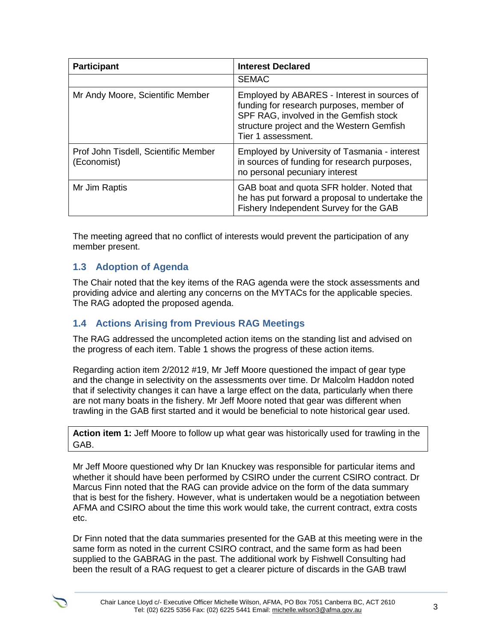| <b>Participant</b>                                  | <b>Interest Declared</b>                                                                                                                                                                             |
|-----------------------------------------------------|------------------------------------------------------------------------------------------------------------------------------------------------------------------------------------------------------|
|                                                     | <b>SEMAC</b>                                                                                                                                                                                         |
| Mr Andy Moore, Scientific Member                    | Employed by ABARES - Interest in sources of<br>funding for research purposes, member of<br>SPF RAG, involved in the Gemfish stock<br>structure project and the Western Gemfish<br>Tier 1 assessment. |
| Prof John Tisdell, Scientific Member<br>(Economist) | Employed by University of Tasmania - interest<br>in sources of funding for research purposes,<br>no personal pecuniary interest                                                                      |
| Mr Jim Raptis                                       | GAB boat and quota SFR holder. Noted that<br>he has put forward a proposal to undertake the<br>Fishery Independent Survey for the GAB                                                                |

The meeting agreed that no conflict of interests would prevent the participation of any member present.

## **1.3 Adoption of Agenda**

The Chair noted that the key items of the RAG agenda were the stock assessments and providing advice and alerting any concerns on the MYTACs for the applicable species. The RAG adopted the proposed agenda.

## **1.4 Actions Arising from Previous RAG Meetings**

The RAG addressed the uncompleted action items on the standing list and advised on the progress of each item. Table 1 shows the progress of these action items.

Regarding action item 2/2012 #19, Mr Jeff Moore questioned the impact of gear type and the change in selectivity on the assessments over time. Dr Malcolm Haddon noted that if selectivity changes it can have a large effect on the data, particularly when there are not many boats in the fishery. Mr Jeff Moore noted that gear was different when trawling in the GAB first started and it would be beneficial to note historical gear used.

**Action item 1:** Jeff Moore to follow up what gear was historically used for trawling in the GAB.

Mr Jeff Moore questioned why Dr Ian Knuckey was responsible for particular items and whether it should have been performed by CSIRO under the current CSIRO contract. Dr Marcus Finn noted that the RAG can provide advice on the form of the data summary that is best for the fishery. However, what is undertaken would be a negotiation between AFMA and CSIRO about the time this work would take, the current contract, extra costs etc.

Dr Finn noted that the data summaries presented for the GAB at this meeting were in the same form as noted in the current CSIRO contract, and the same form as had been supplied to the GABRAG in the past. The additional work by Fishwell Consulting had been the result of a RAG request to get a clearer picture of discards in the GAB trawl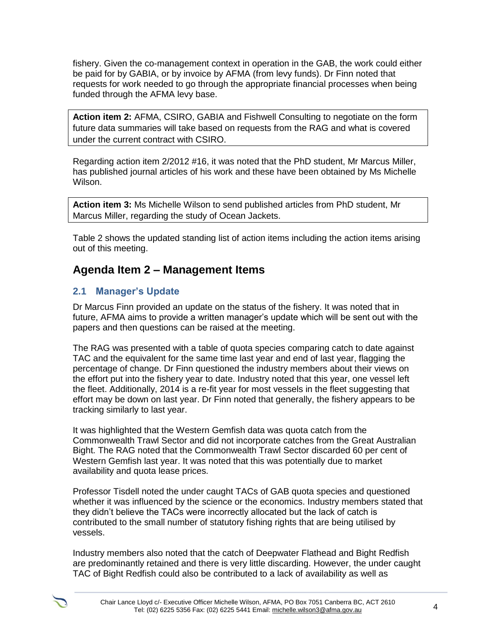fishery. Given the co-management context in operation in the GAB, the work could either be paid for by GABIA, or by invoice by AFMA (from levy funds). Dr Finn noted that requests for work needed to go through the appropriate financial processes when being funded through the AFMA levy base.

**Action item 2:** AFMA, CSIRO, GABIA and Fishwell Consulting to negotiate on the form future data summaries will take based on requests from the RAG and what is covered under the current contract with CSIRO.

Regarding action item 2/2012 #16, it was noted that the PhD student, Mr Marcus Miller, has published journal articles of his work and these have been obtained by Ms Michelle Wilson.

**Action item 3:** Ms Michelle Wilson to send published articles from PhD student, Mr Marcus Miller, regarding the study of Ocean Jackets.

Table 2 shows the updated standing list of action items including the action items arising out of this meeting.

## **Agenda Item 2 – Management Items**

### **2.1 Manager's Update**

Dr Marcus Finn provided an update on the status of the fishery. It was noted that in future, AFMA aims to provide a written manager's update which will be sent out with the papers and then questions can be raised at the meeting.

The RAG was presented with a table of quota species comparing catch to date against TAC and the equivalent for the same time last year and end of last year, flagging the percentage of change. Dr Finn questioned the industry members about their views on the effort put into the fishery year to date. Industry noted that this year, one vessel left the fleet. Additionally, 2014 is a re-fit year for most vessels in the fleet suggesting that effort may be down on last year. Dr Finn noted that generally, the fishery appears to be tracking similarly to last year.

It was highlighted that the Western Gemfish data was quota catch from the Commonwealth Trawl Sector and did not incorporate catches from the Great Australian Bight. The RAG noted that the Commonwealth Trawl Sector discarded 60 per cent of Western Gemfish last year. It was noted that this was potentially due to market availability and quota lease prices.

Professor Tisdell noted the under caught TACs of GAB quota species and questioned whether it was influenced by the science or the economics. Industry members stated that they didn't believe the TACs were incorrectly allocated but the lack of catch is contributed to the small number of statutory fishing rights that are being utilised by vessels.

Industry members also noted that the catch of Deepwater Flathead and Bight Redfish are predominantly retained and there is very little discarding. However, the under caught TAC of Bight Redfish could also be contributed to a lack of availability as well as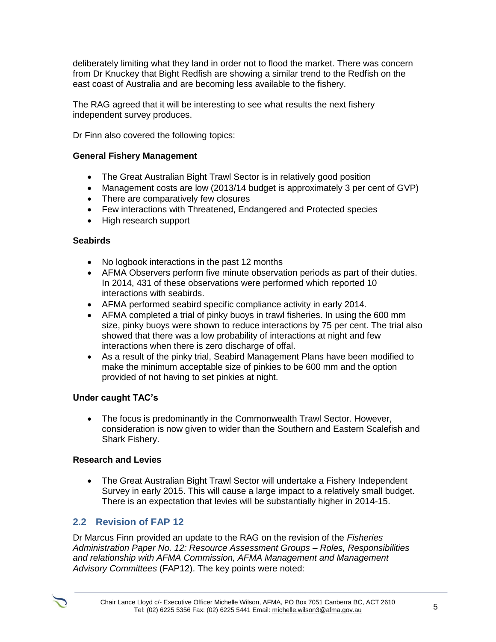deliberately limiting what they land in order not to flood the market. There was concern from Dr Knuckey that Bight Redfish are showing a similar trend to the Redfish on the east coast of Australia and are becoming less available to the fishery.

The RAG agreed that it will be interesting to see what results the next fishery independent survey produces.

Dr Finn also covered the following topics:

#### **General Fishery Management**

- The Great Australian Bight Trawl Sector is in relatively good position
- Management costs are low (2013/14 budget is approximately 3 per cent of GVP)
- There are comparatively few closures
- Few interactions with Threatened, Endangered and Protected species
- High research support

#### **Seabirds**

- No logbook interactions in the past 12 months
- AFMA Observers perform five minute observation periods as part of their duties. In 2014, 431 of these observations were performed which reported 10 interactions with seabirds.
- AFMA performed seabird specific compliance activity in early 2014.
- AFMA completed a trial of pinky buoys in trawl fisheries. In using the 600 mm size, pinky buoys were shown to reduce interactions by 75 per cent. The trial also showed that there was a low probability of interactions at night and few interactions when there is zero discharge of offal.
- As a result of the pinky trial, Seabird Management Plans have been modified to make the minimum acceptable size of pinkies to be 600 mm and the option provided of not having to set pinkies at night.

#### **Under caught TAC's**

 The focus is predominantly in the Commonwealth Trawl Sector. However, consideration is now given to wider than the Southern and Eastern Scalefish and Shark Fishery.

#### **Research and Levies**

 The Great Australian Bight Trawl Sector will undertake a Fishery Independent Survey in early 2015. This will cause a large impact to a relatively small budget. There is an expectation that levies will be substantially higher in 2014-15.

## **2.2 Revision of FAP 12**

Dr Marcus Finn provided an update to the RAG on the revision of the *Fisheries Administration Paper No. 12: Resource Assessment Groups – Roles, Responsibilities and relationship with AFMA Commission, AFMA Management and Management Advisory Committees* (FAP12). The key points were noted: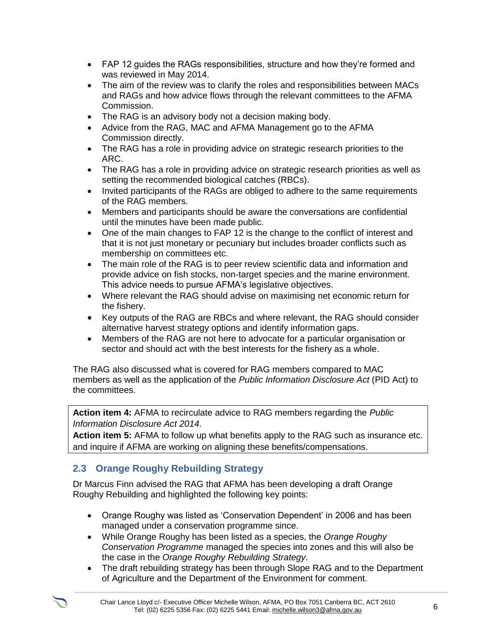- FAP 12 guides the RAGs responsibilities, structure and how they're formed and was reviewed in May 2014.
- The aim of the review was to clarify the roles and responsibilities between MACs and RAGs and how advice flows through the relevant committees to the AFMA Commission.
- The RAG is an advisory body not a decision making body.
- Advice from the RAG, MAC and AFMA Management go to the AFMA Commission directly.
- The RAG has a role in providing advice on strategic research priorities to the ARC.
- The RAG has a role in providing advice on strategic research priorities as well as setting the recommended biological catches (RBCs).
- Invited participants of the RAGs are obliged to adhere to the same requirements of the RAG members.
- Members and participants should be aware the conversations are confidential until the minutes have been made public.
- One of the main changes to FAP 12 is the change to the conflict of interest and that it is not just monetary or pecuniary but includes broader conflicts such as membership on committees etc.
- The main role of the RAG is to peer review scientific data and information and provide advice on fish stocks, non-target species and the marine environment. This advice needs to pursue AFMA's legislative objectives.
- Where relevant the RAG should advise on maximising net economic return for the fishery.
- Key outputs of the RAG are RBCs and where relevant, the RAG should consider alternative harvest strategy options and identify information gaps.
- Members of the RAG are not here to advocate for a particular organisation or sector and should act with the best interests for the fishery as a whole.

The RAG also discussed what is covered for RAG members compared to MAC members as well as the application of the *Public Information Disclosure Act* (PID Act) to the committees.

**Action item 4:** AFMA to recirculate advice to RAG members regarding the *Public Information Disclosure Act 2014*.

**Action item 5:** AFMA to follow up what benefits apply to the RAG such as insurance etc. and inquire if AFMA are working on aligning these benefits/compensations.

## **2.3 Orange Roughy Rebuilding Strategy**

Dr Marcus Finn advised the RAG that AFMA has been developing a draft Orange Roughy Rebuilding and highlighted the following key points:

- Orange Roughy was listed as 'Conservation Dependent' in 2006 and has been managed under a conservation programme since.
- While Orange Roughy has been listed as a species, the *Orange Roughy Conservation Programme* managed the species into zones and this will also be the case in the *Orange Roughy Rebuilding Strategy*.
- The draft rebuilding strategy has been through Slope RAG and to the Department of Agriculture and the Department of the Environment for comment.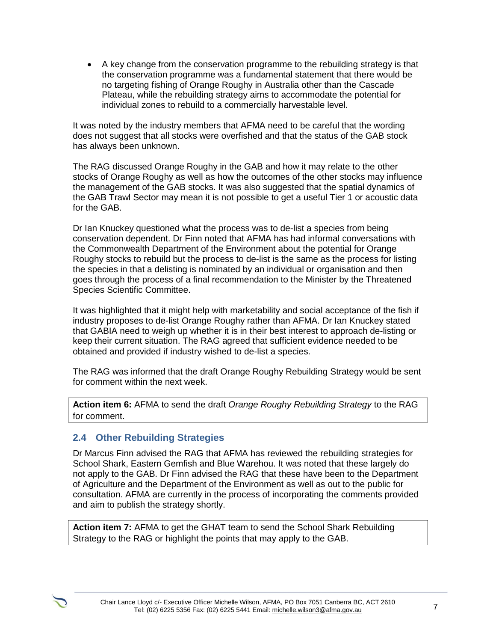A key change from the conservation programme to the rebuilding strategy is that the conservation programme was a fundamental statement that there would be no targeting fishing of Orange Roughy in Australia other than the Cascade Plateau, while the rebuilding strategy aims to accommodate the potential for individual zones to rebuild to a commercially harvestable level.

It was noted by the industry members that AFMA need to be careful that the wording does not suggest that all stocks were overfished and that the status of the GAB stock has always been unknown.

The RAG discussed Orange Roughy in the GAB and how it may relate to the other stocks of Orange Roughy as well as how the outcomes of the other stocks may influence the management of the GAB stocks. It was also suggested that the spatial dynamics of the GAB Trawl Sector may mean it is not possible to get a useful Tier 1 or acoustic data for the GAB.

Dr Ian Knuckey questioned what the process was to de-list a species from being conservation dependent. Dr Finn noted that AFMA has had informal conversations with the Commonwealth Department of the Environment about the potential for Orange Roughy stocks to rebuild but the process to de-list is the same as the process for listing the species in that a delisting is nominated by an individual or organisation and then goes through the process of a final recommendation to the Minister by the Threatened Species Scientific Committee.

It was highlighted that it might help with marketability and social acceptance of the fish if industry proposes to de-list Orange Roughy rather than AFMA. Dr Ian Knuckey stated that GABIA need to weigh up whether it is in their best interest to approach de-listing or keep their current situation. The RAG agreed that sufficient evidence needed to be obtained and provided if industry wished to de-list a species.

The RAG was informed that the draft Orange Roughy Rebuilding Strategy would be sent for comment within the next week.

**Action item 6:** AFMA to send the draft *Orange Roughy Rebuilding Strategy* to the RAG for comment.

## **2.4 Other Rebuilding Strategies**

Dr Marcus Finn advised the RAG that AFMA has reviewed the rebuilding strategies for School Shark, Eastern Gemfish and Blue Warehou. It was noted that these largely do not apply to the GAB. Dr Finn advised the RAG that these have been to the Department of Agriculture and the Department of the Environment as well as out to the public for consultation. AFMA are currently in the process of incorporating the comments provided and aim to publish the strategy shortly.

**Action item 7:** AFMA to get the GHAT team to send the School Shark Rebuilding Strategy to the RAG or highlight the points that may apply to the GAB.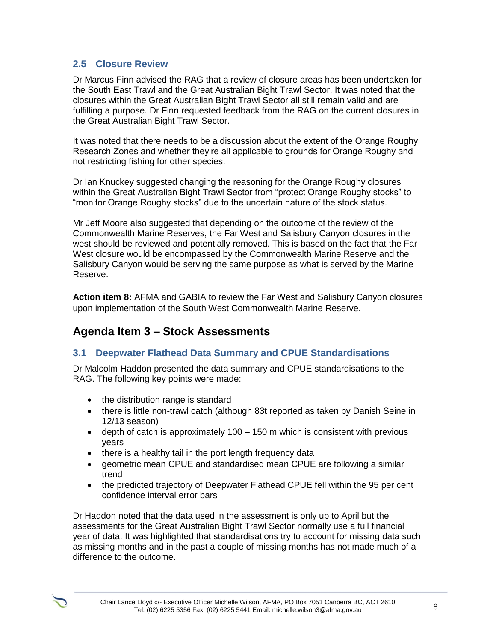### **2.5 Closure Review**

Dr Marcus Finn advised the RAG that a review of closure areas has been undertaken for the South East Trawl and the Great Australian Bight Trawl Sector. It was noted that the closures within the Great Australian Bight Trawl Sector all still remain valid and are fulfilling a purpose. Dr Finn requested feedback from the RAG on the current closures in the Great Australian Bight Trawl Sector.

It was noted that there needs to be a discussion about the extent of the Orange Roughy Research Zones and whether they're all applicable to grounds for Orange Roughy and not restricting fishing for other species.

Dr Ian Knuckey suggested changing the reasoning for the Orange Roughy closures within the Great Australian Bight Trawl Sector from "protect Orange Roughy stocks" to "monitor Orange Roughy stocks" due to the uncertain nature of the stock status.

Mr Jeff Moore also suggested that depending on the outcome of the review of the Commonwealth Marine Reserves, the Far West and Salisbury Canyon closures in the west should be reviewed and potentially removed. This is based on the fact that the Far West closure would be encompassed by the Commonwealth Marine Reserve and the Salisbury Canyon would be serving the same purpose as what is served by the Marine Reserve.

**Action item 8:** AFMA and GABIA to review the Far West and Salisbury Canyon closures upon implementation of the South West Commonwealth Marine Reserve.

## **Agenda Item 3 – Stock Assessments**

## **3.1 Deepwater Flathead Data Summary and CPUE Standardisations**

Dr Malcolm Haddon presented the data summary and CPUE standardisations to the RAG. The following key points were made:

- the distribution range is standard
- there is little non-trawl catch (although 83t reported as taken by Danish Seine in 12/13 season)
- $\bullet$  depth of catch is approximately 100 150 m which is consistent with previous years
- there is a healthy tail in the port length frequency data
- geometric mean CPUE and standardised mean CPUE are following a similar trend
- the predicted trajectory of Deepwater Flathead CPUE fell within the 95 per cent confidence interval error bars

Dr Haddon noted that the data used in the assessment is only up to April but the assessments for the Great Australian Bight Trawl Sector normally use a full financial year of data. It was highlighted that standardisations try to account for missing data such as missing months and in the past a couple of missing months has not made much of a difference to the outcome.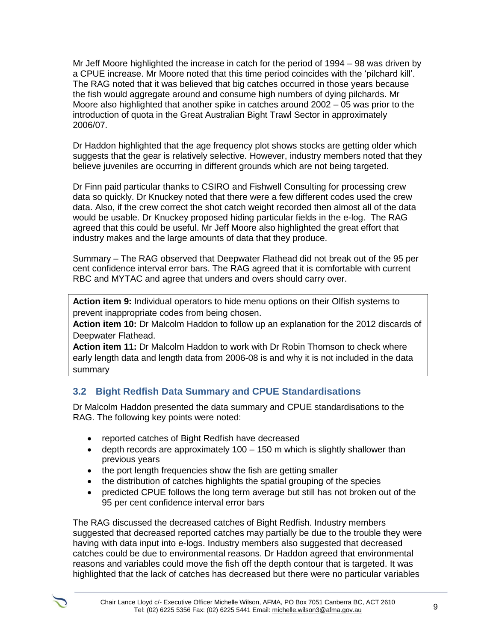Mr Jeff Moore highlighted the increase in catch for the period of 1994 – 98 was driven by a CPUE increase. Mr Moore noted that this time period coincides with the 'pilchard kill'. The RAG noted that it was believed that big catches occurred in those years because the fish would aggregate around and consume high numbers of dying pilchards. Mr Moore also highlighted that another spike in catches around 2002 – 05 was prior to the introduction of quota in the Great Australian Bight Trawl Sector in approximately 2006/07.

Dr Haddon highlighted that the age frequency plot shows stocks are getting older which suggests that the gear is relatively selective. However, industry members noted that they believe juveniles are occurring in different grounds which are not being targeted.

Dr Finn paid particular thanks to CSIRO and Fishwell Consulting for processing crew data so quickly. Dr Knuckey noted that there were a few different codes used the crew data. Also, if the crew correct the shot catch weight recorded then almost all of the data would be usable. Dr Knuckey proposed hiding particular fields in the e-log. The RAG agreed that this could be useful. Mr Jeff Moore also highlighted the great effort that industry makes and the large amounts of data that they produce.

Summary – The RAG observed that Deepwater Flathead did not break out of the 95 per cent confidence interval error bars. The RAG agreed that it is comfortable with current RBC and MYTAC and agree that unders and overs should carry over.

**Action item 9:** Individual operators to hide menu options on their Olfish systems to prevent inappropriate codes from being chosen.

**Action item 10:** Dr Malcolm Haddon to follow up an explanation for the 2012 discards of Deepwater Flathead.

**Action item 11:** Dr Malcolm Haddon to work with Dr Robin Thomson to check where early length data and length data from 2006-08 is and why it is not included in the data summary

## **3.2 Bight Redfish Data Summary and CPUE Standardisations**

Dr Malcolm Haddon presented the data summary and CPUE standardisations to the RAG. The following key points were noted:

- reported catches of Bight Redfish have decreased
- $\bullet$  depth records are approximately 100 150 m which is slightly shallower than previous years
- the port length frequencies show the fish are getting smaller
- the distribution of catches highlights the spatial grouping of the species
- predicted CPUE follows the long term average but still has not broken out of the 95 per cent confidence interval error bars

The RAG discussed the decreased catches of Bight Redfish. Industry members suggested that decreased reported catches may partially be due to the trouble they were having with data input into e-logs. Industry members also suggested that decreased catches could be due to environmental reasons. Dr Haddon agreed that environmental reasons and variables could move the fish off the depth contour that is targeted. It was highlighted that the lack of catches has decreased but there were no particular variables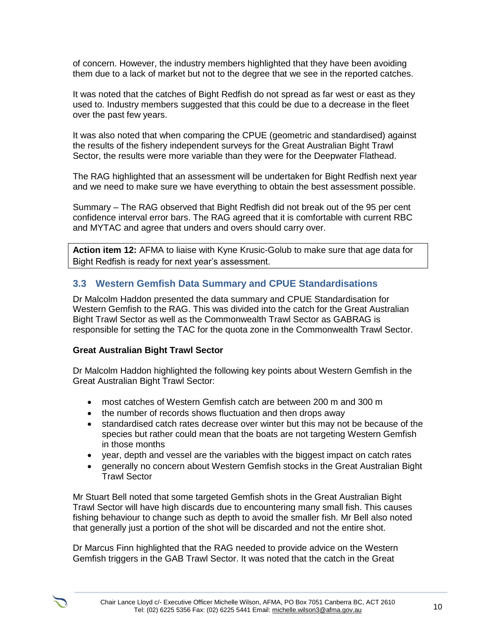of concern. However, the industry members highlighted that they have been avoiding them due to a lack of market but not to the degree that we see in the reported catches.

It was noted that the catches of Bight Redfish do not spread as far west or east as they used to. Industry members suggested that this could be due to a decrease in the fleet over the past few years.

It was also noted that when comparing the CPUE (geometric and standardised) against the results of the fishery independent surveys for the Great Australian Bight Trawl Sector, the results were more variable than they were for the Deepwater Flathead.

The RAG highlighted that an assessment will be undertaken for Bight Redfish next year and we need to make sure we have everything to obtain the best assessment possible.

Summary – The RAG observed that Bight Redfish did not break out of the 95 per cent confidence interval error bars. The RAG agreed that it is comfortable with current RBC and MYTAC and agree that unders and overs should carry over.

**Action item 12:** AFMA to liaise with Kyne Krusic-Golub to make sure that age data for Bight Redfish is ready for next year's assessment.

### **3.3 Western Gemfish Data Summary and CPUE Standardisations**

Dr Malcolm Haddon presented the data summary and CPUE Standardisation for Western Gemfish to the RAG. This was divided into the catch for the Great Australian Bight Trawl Sector as well as the Commonwealth Trawl Sector as GABRAG is responsible for setting the TAC for the quota zone in the Commonwealth Trawl Sector.

#### **Great Australian Bight Trawl Sector**

Dr Malcolm Haddon highlighted the following key points about Western Gemfish in the Great Australian Bight Trawl Sector:

- most catches of Western Gemfish catch are between 200 m and 300 m
- the number of records shows fluctuation and then drops away
- standardised catch rates decrease over winter but this may not be because of the species but rather could mean that the boats are not targeting Western Gemfish in those months
- year, depth and vessel are the variables with the biggest impact on catch rates
- generally no concern about Western Gemfish stocks in the Great Australian Bight Trawl Sector

Mr Stuart Bell noted that some targeted Gemfish shots in the Great Australian Bight Trawl Sector will have high discards due to encountering many small fish. This causes fishing behaviour to change such as depth to avoid the smaller fish. Mr Bell also noted that generally just a portion of the shot will be discarded and not the entire shot.

Dr Marcus Finn highlighted that the RAG needed to provide advice on the Western Gemfish triggers in the GAB Trawl Sector. It was noted that the catch in the Great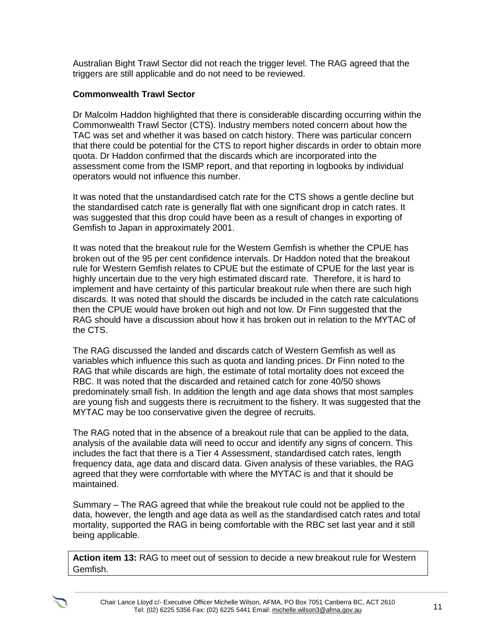Australian Bight Trawl Sector did not reach the trigger level. The RAG agreed that the triggers are still applicable and do not need to be reviewed.

#### **Commonwealth Trawl Sector**

Dr Malcolm Haddon highlighted that there is considerable discarding occurring within the Commonwealth Trawl Sector (CTS). Industry members noted concern about how the TAC was set and whether it was based on catch history. There was particular concern that there could be potential for the CTS to report higher discards in order to obtain more quota. Dr Haddon confirmed that the discards which are incorporated into the assessment come from the ISMP report, and that reporting in logbooks by individual operators would not influence this number.

It was noted that the unstandardised catch rate for the CTS shows a gentle decline but the standardised catch rate is generally flat with one significant drop in catch rates. It was suggested that this drop could have been as a result of changes in exporting of Gemfish to Japan in approximately 2001.

It was noted that the breakout rule for the Western Gemfish is whether the CPUE has broken out of the 95 per cent confidence intervals. Dr Haddon noted that the breakout rule for Western Gemfish relates to CPUE but the estimate of CPUE for the last year is highly uncertain due to the very high estimated discard rate. Therefore, it is hard to implement and have certainty of this particular breakout rule when there are such high discards. It was noted that should the discards be included in the catch rate calculations then the CPUE would have broken out high and not low. Dr Finn suggested that the RAG should have a discussion about how it has broken out in relation to the MYTAC of the CTS.

The RAG discussed the landed and discards catch of Western Gemfish as well as variables which influence this such as quota and landing prices. Dr Finn noted to the RAG that while discards are high, the estimate of total mortality does not exceed the RBC. It was noted that the discarded and retained catch for zone 40/50 shows predominately small fish. In addition the length and age data shows that most samples are young fish and suggests there is recruitment to the fishery. It was suggested that the MYTAC may be too conservative given the degree of recruits.

The RAG noted that in the absence of a breakout rule that can be applied to the data, analysis of the available data will need to occur and identify any signs of concern. This includes the fact that there is a Tier 4 Assessment, standardised catch rates, length frequency data, age data and discard data. Given analysis of these variables, the RAG agreed that they were comfortable with where the MYTAC is and that it should be maintained.

Summary – The RAG agreed that while the breakout rule could not be applied to the data, however, the length and age data as well as the standardised catch rates and total mortality, supported the RAG in being comfortable with the RBC set last year and it still being applicable.

**Action item 13:** RAG to meet out of session to decide a new breakout rule for Western Gemfish.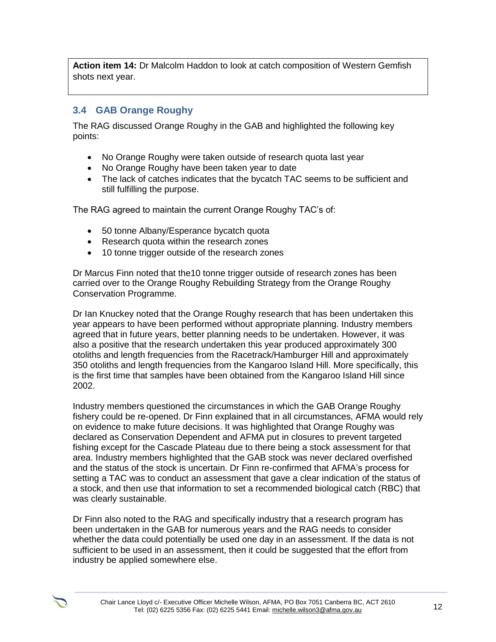**Action item 14:** Dr Malcolm Haddon to look at catch composition of Western Gemfish shots next year.

#### **3.4 GAB Orange Roughy**

The RAG discussed Orange Roughy in the GAB and highlighted the following key points:

- No Orange Roughy were taken outside of research quota last year
- No Orange Roughy have been taken year to date
- The lack of catches indicates that the bycatch TAC seems to be sufficient and still fulfilling the purpose.

The RAG agreed to maintain the current Orange Roughy TAC's of:

- 50 tonne Albany/Esperance bycatch quota
- Research quota within the research zones
- 10 tonne trigger outside of the research zones

Dr Marcus Finn noted that the10 tonne trigger outside of research zones has been carried over to the Orange Roughy Rebuilding Strategy from the Orange Roughy Conservation Programme.

Dr Ian Knuckey noted that the Orange Roughy research that has been undertaken this year appears to have been performed without appropriate planning. Industry members agreed that in future years, better planning needs to be undertaken. However, it was also a positive that the research undertaken this year produced approximately 300 otoliths and length frequencies from the Racetrack/Hamburger Hill and approximately 350 otoliths and length frequencies from the Kangaroo Island Hill. More specifically, this is the first time that samples have been obtained from the Kangaroo Island Hill since 2002.

Industry members questioned the circumstances in which the GAB Orange Roughy fishery could be re-opened. Dr Finn explained that in all circumstances, AFMA would rely on evidence to make future decisions. It was highlighted that Orange Roughy was declared as Conservation Dependent and AFMA put in closures to prevent targeted fishing except for the Cascade Plateau due to there being a stock assessment for that area. Industry members highlighted that the GAB stock was never declared overfished and the status of the stock is uncertain. Dr Finn re-confirmed that AFMA's process for setting a TAC was to conduct an assessment that gave a clear indication of the status of a stock, and then use that information to set a recommended biological catch (RBC) that was clearly sustainable.

Dr Finn also noted to the RAG and specifically industry that a research program has been undertaken in the GAB for numerous years and the RAG needs to consider whether the data could potentially be used one day in an assessment. If the data is not sufficient to be used in an assessment, then it could be suggested that the effort from industry be applied somewhere else.

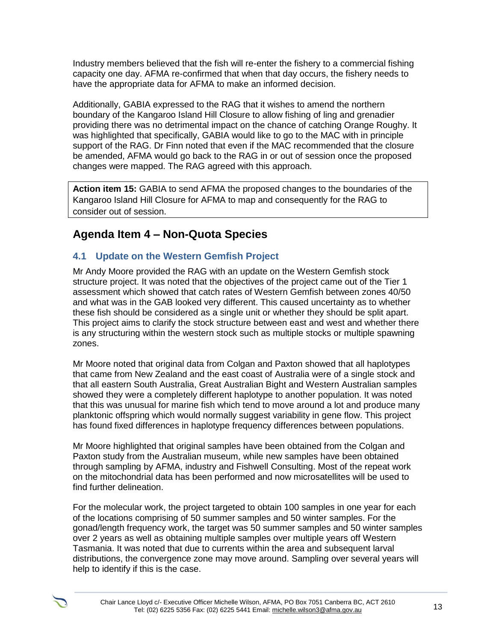Industry members believed that the fish will re-enter the fishery to a commercial fishing capacity one day. AFMA re-confirmed that when that day occurs, the fishery needs to have the appropriate data for AFMA to make an informed decision.

Additionally, GABIA expressed to the RAG that it wishes to amend the northern boundary of the Kangaroo Island Hill Closure to allow fishing of ling and grenadier providing there was no detrimental impact on the chance of catching Orange Roughy. It was highlighted that specifically, GABIA would like to go to the MAC with in principle support of the RAG. Dr Finn noted that even if the MAC recommended that the closure be amended, AFMA would go back to the RAG in or out of session once the proposed changes were mapped. The RAG agreed with this approach.

**Action item 15:** GABIA to send AFMA the proposed changes to the boundaries of the Kangaroo Island Hill Closure for AFMA to map and consequently for the RAG to consider out of session.

## **Agenda Item 4 – Non-Quota Species**

## **4.1 Update on the Western Gemfish Project**

Mr Andy Moore provided the RAG with an update on the Western Gemfish stock structure project. It was noted that the objectives of the project came out of the Tier 1 assessment which showed that catch rates of Western Gemfish between zones 40/50 and what was in the GAB looked very different. This caused uncertainty as to whether these fish should be considered as a single unit or whether they should be split apart. This project aims to clarify the stock structure between east and west and whether there is any structuring within the western stock such as multiple stocks or multiple spawning zones.

Mr Moore noted that original data from Colgan and Paxton showed that all haplotypes that came from New Zealand and the east coast of Australia were of a single stock and that all eastern South Australia, Great Australian Bight and Western Australian samples showed they were a completely different haplotype to another population. It was noted that this was unusual for marine fish which tend to move around a lot and produce many planktonic offspring which would normally suggest variability in gene flow. This project has found fixed differences in haplotype frequency differences between populations.

Mr Moore highlighted that original samples have been obtained from the Colgan and Paxton study from the Australian museum, while new samples have been obtained through sampling by AFMA, industry and Fishwell Consulting. Most of the repeat work on the mitochondrial data has been performed and now microsatellites will be used to find further delineation.

For the molecular work, the project targeted to obtain 100 samples in one year for each of the locations comprising of 50 summer samples and 50 winter samples. For the gonad/length frequency work, the target was 50 summer samples and 50 winter samples over 2 years as well as obtaining multiple samples over multiple years off Western Tasmania. It was noted that due to currents within the area and subsequent larval distributions, the convergence zone may move around. Sampling over several years will help to identify if this is the case.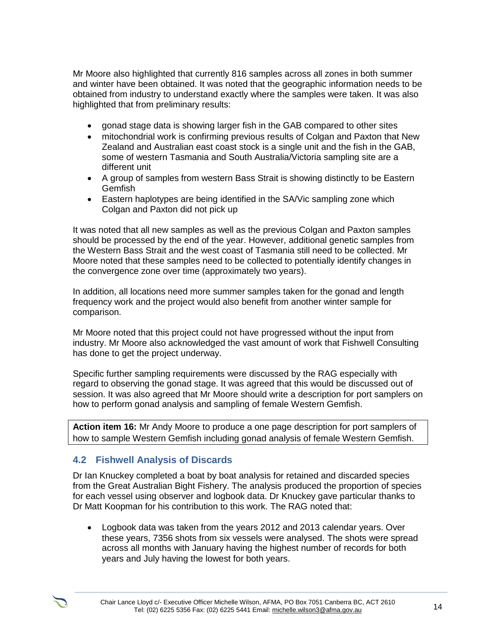Mr Moore also highlighted that currently 816 samples across all zones in both summer and winter have been obtained. It was noted that the geographic information needs to be obtained from industry to understand exactly where the samples were taken. It was also highlighted that from preliminary results:

- gonad stage data is showing larger fish in the GAB compared to other sites
- mitochondrial work is confirming previous results of Colgan and Paxton that New Zealand and Australian east coast stock is a single unit and the fish in the GAB, some of western Tasmania and South Australia/Victoria sampling site are a different unit
- A group of samples from western Bass Strait is showing distinctly to be Eastern Gemfish
- Eastern haplotypes are being identified in the SA/Vic sampling zone which Colgan and Paxton did not pick up

It was noted that all new samples as well as the previous Colgan and Paxton samples should be processed by the end of the year. However, additional genetic samples from the Western Bass Strait and the west coast of Tasmania still need to be collected. Mr Moore noted that these samples need to be collected to potentially identify changes in the convergence zone over time (approximately two years).

In addition, all locations need more summer samples taken for the gonad and length frequency work and the project would also benefit from another winter sample for comparison.

Mr Moore noted that this project could not have progressed without the input from industry. Mr Moore also acknowledged the vast amount of work that Fishwell Consulting has done to get the project underway.

Specific further sampling requirements were discussed by the RAG especially with regard to observing the gonad stage. It was agreed that this would be discussed out of session. It was also agreed that Mr Moore should write a description for port samplers on how to perform gonad analysis and sampling of female Western Gemfish.

**Action item 16:** Mr Andy Moore to produce a one page description for port samplers of how to sample Western Gemfish including gonad analysis of female Western Gemfish.

## **4.2 Fishwell Analysis of Discards**

Dr Ian Knuckey completed a boat by boat analysis for retained and discarded species from the Great Australian Bight Fishery. The analysis produced the proportion of species for each vessel using observer and logbook data. Dr Knuckey gave particular thanks to Dr Matt Koopman for his contribution to this work. The RAG noted that:

 Logbook data was taken from the years 2012 and 2013 calendar years. Over these years, 7356 shots from six vessels were analysed. The shots were spread across all months with January having the highest number of records for both years and July having the lowest for both years.

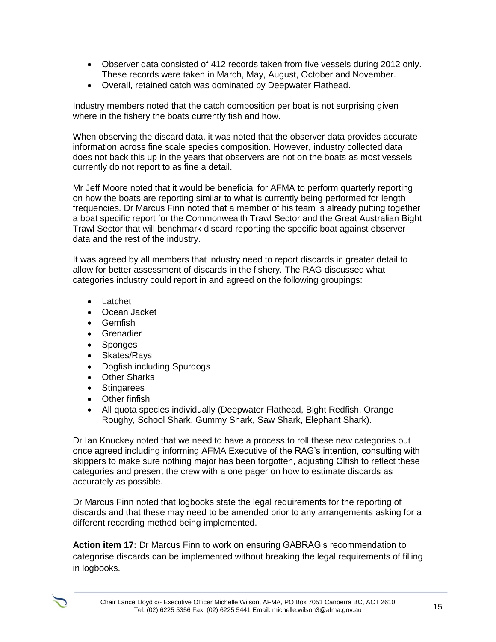- Observer data consisted of 412 records taken from five vessels during 2012 only. These records were taken in March, May, August, October and November.
- Overall, retained catch was dominated by Deepwater Flathead.

Industry members noted that the catch composition per boat is not surprising given where in the fishery the boats currently fish and how.

When observing the discard data, it was noted that the observer data provides accurate information across fine scale species composition. However, industry collected data does not back this up in the years that observers are not on the boats as most vessels currently do not report to as fine a detail.

Mr Jeff Moore noted that it would be beneficial for AFMA to perform quarterly reporting on how the boats are reporting similar to what is currently being performed for length frequencies. Dr Marcus Finn noted that a member of his team is already putting together a boat specific report for the Commonwealth Trawl Sector and the Great Australian Bight Trawl Sector that will benchmark discard reporting the specific boat against observer data and the rest of the industry.

It was agreed by all members that industry need to report discards in greater detail to allow for better assessment of discards in the fishery. The RAG discussed what categories industry could report in and agreed on the following groupings:

- Latchet
- Ocean Jacket
- **•** Gemfish
- **•** Grenadier
- Sponges
- Skates/Rays
- Dogfish including Spurdogs
- Other Sharks
- Stingarees
- Other finfish
- All quota species individually (Deepwater Flathead, Bight Redfish, Orange Roughy, School Shark, Gummy Shark, Saw Shark, Elephant Shark).

Dr Ian Knuckey noted that we need to have a process to roll these new categories out once agreed including informing AFMA Executive of the RAG's intention, consulting with skippers to make sure nothing major has been forgotten, adjusting Olfish to reflect these categories and present the crew with a one pager on how to estimate discards as accurately as possible.

Dr Marcus Finn noted that logbooks state the legal requirements for the reporting of discards and that these may need to be amended prior to any arrangements asking for a different recording method being implemented.

**Action item 17:** Dr Marcus Finn to work on ensuring GABRAG's recommendation to categorise discards can be implemented without breaking the legal requirements of filling in logbooks.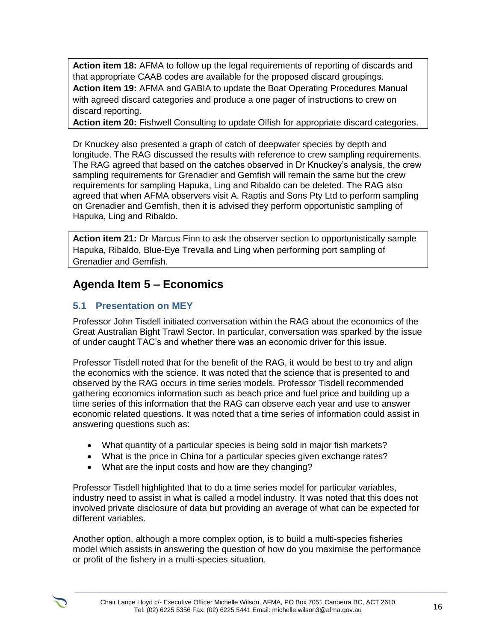**Action item 18:** AFMA to follow up the legal requirements of reporting of discards and that appropriate CAAB codes are available for the proposed discard groupings. **Action item 19:** AFMA and GABIA to update the Boat Operating Procedures Manual with agreed discard categories and produce a one pager of instructions to crew on discard reporting.

**Action item 20:** Fishwell Consulting to update Olfish for appropriate discard categories.

Dr Knuckey also presented a graph of catch of deepwater species by depth and longitude. The RAG discussed the results with reference to crew sampling requirements. The RAG agreed that based on the catches observed in Dr Knuckey's analysis, the crew sampling requirements for Grenadier and Gemfish will remain the same but the crew requirements for sampling Hapuka, Ling and Ribaldo can be deleted. The RAG also agreed that when AFMA observers visit A. Raptis and Sons Pty Ltd to perform sampling on Grenadier and Gemfish, then it is advised they perform opportunistic sampling of Hapuka, Ling and Ribaldo.

**Action item 21:** Dr Marcus Finn to ask the observer section to opportunistically sample Hapuka, Ribaldo, Blue-Eye Trevalla and Ling when performing port sampling of Grenadier and Gemfish.

## **Agenda Item 5 – Economics**

### **5.1 Presentation on MEY**

Professor John Tisdell initiated conversation within the RAG about the economics of the Great Australian Bight Trawl Sector. In particular, conversation was sparked by the issue of under caught TAC's and whether there was an economic driver for this issue.

Professor Tisdell noted that for the benefit of the RAG, it would be best to try and align the economics with the science. It was noted that the science that is presented to and observed by the RAG occurs in time series models. Professor Tisdell recommended gathering economics information such as beach price and fuel price and building up a time series of this information that the RAG can observe each year and use to answer economic related questions. It was noted that a time series of information could assist in answering questions such as:

- What quantity of a particular species is being sold in major fish markets?
- What is the price in China for a particular species given exchange rates?
- What are the input costs and how are they changing?

Professor Tisdell highlighted that to do a time series model for particular variables, industry need to assist in what is called a model industry. It was noted that this does not involved private disclosure of data but providing an average of what can be expected for different variables.

Another option, although a more complex option, is to build a multi-species fisheries model which assists in answering the question of how do you maximise the performance or profit of the fishery in a multi-species situation.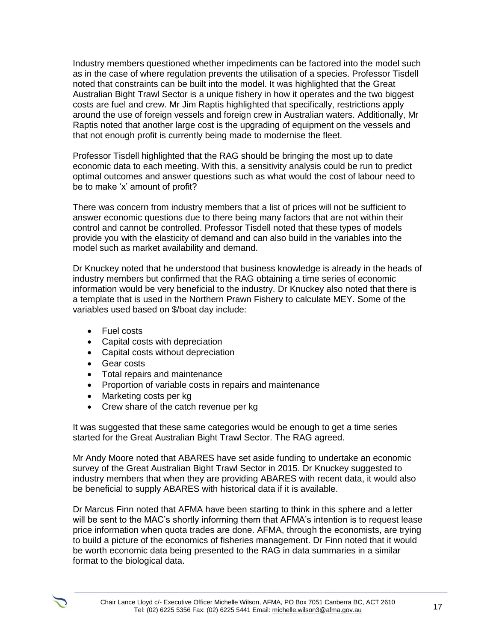Industry members questioned whether impediments can be factored into the model such as in the case of where regulation prevents the utilisation of a species. Professor Tisdell noted that constraints can be built into the model. It was highlighted that the Great Australian Bight Trawl Sector is a unique fishery in how it operates and the two biggest costs are fuel and crew. Mr Jim Raptis highlighted that specifically, restrictions apply around the use of foreign vessels and foreign crew in Australian waters. Additionally, Mr Raptis noted that another large cost is the upgrading of equipment on the vessels and that not enough profit is currently being made to modernise the fleet.

Professor Tisdell highlighted that the RAG should be bringing the most up to date economic data to each meeting. With this, a sensitivity analysis could be run to predict optimal outcomes and answer questions such as what would the cost of labour need to be to make 'x' amount of profit?

There was concern from industry members that a list of prices will not be sufficient to answer economic questions due to there being many factors that are not within their control and cannot be controlled. Professor Tisdell noted that these types of models provide you with the elasticity of demand and can also build in the variables into the model such as market availability and demand.

Dr Knuckey noted that he understood that business knowledge is already in the heads of industry members but confirmed that the RAG obtaining a time series of economic information would be very beneficial to the industry. Dr Knuckey also noted that there is a template that is used in the Northern Prawn Fishery to calculate MEY. Some of the variables used based on \$/boat day include:

- Fuel costs
- Capital costs with depreciation
- Capital costs without depreciation
- Gear costs
- Total repairs and maintenance
- Proportion of variable costs in repairs and maintenance
- Marketing costs per kg
- Crew share of the catch revenue per kg

It was suggested that these same categories would be enough to get a time series started for the Great Australian Bight Trawl Sector. The RAG agreed.

Mr Andy Moore noted that ABARES have set aside funding to undertake an economic survey of the Great Australian Bight Trawl Sector in 2015. Dr Knuckey suggested to industry members that when they are providing ABARES with recent data, it would also be beneficial to supply ABARES with historical data if it is available.

Dr Marcus Finn noted that AFMA have been starting to think in this sphere and a letter will be sent to the MAC's shortly informing them that AFMA's intention is to request lease price information when quota trades are done. AFMA, through the economists, are trying to build a picture of the economics of fisheries management. Dr Finn noted that it would be worth economic data being presented to the RAG in data summaries in a similar format to the biological data.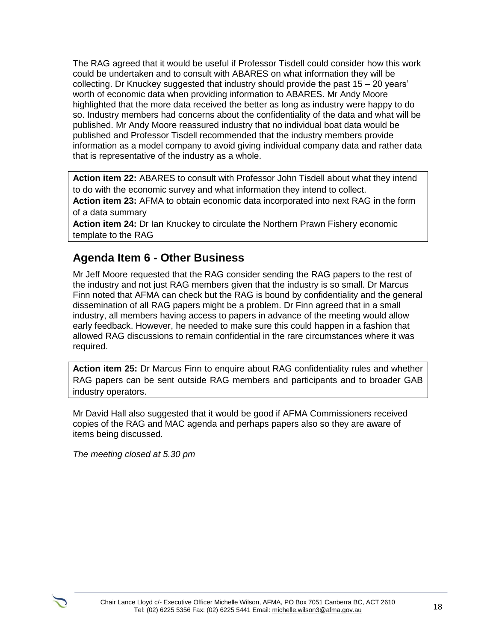The RAG agreed that it would be useful if Professor Tisdell could consider how this work could be undertaken and to consult with ABARES on what information they will be collecting. Dr Knuckey suggested that industry should provide the past 15 – 20 years' worth of economic data when providing information to ABARES. Mr Andy Moore highlighted that the more data received the better as long as industry were happy to do so. Industry members had concerns about the confidentiality of the data and what will be published. Mr Andy Moore reassured industry that no individual boat data would be published and Professor Tisdell recommended that the industry members provide information as a model company to avoid giving individual company data and rather data that is representative of the industry as a whole.

**Action item 22:** ABARES to consult with Professor John Tisdell about what they intend to do with the economic survey and what information they intend to collect.

**Action item 23:** AFMA to obtain economic data incorporated into next RAG in the form of a data summary

**Action item 24:** Dr Ian Knuckey to circulate the Northern Prawn Fishery economic template to the RAG

## **Agenda Item 6 - Other Business**

Mr Jeff Moore requested that the RAG consider sending the RAG papers to the rest of the industry and not just RAG members given that the industry is so small. Dr Marcus Finn noted that AFMA can check but the RAG is bound by confidentiality and the general dissemination of all RAG papers might be a problem. Dr Finn agreed that in a small industry, all members having access to papers in advance of the meeting would allow early feedback. However, he needed to make sure this could happen in a fashion that allowed RAG discussions to remain confidential in the rare circumstances where it was required.

**Action item 25:** Dr Marcus Finn to enquire about RAG confidentiality rules and whether RAG papers can be sent outside RAG members and participants and to broader GAB industry operators.

Mr David Hall also suggested that it would be good if AFMA Commissioners received copies of the RAG and MAC agenda and perhaps papers also so they are aware of items being discussed.

*The meeting closed at 5.30 pm*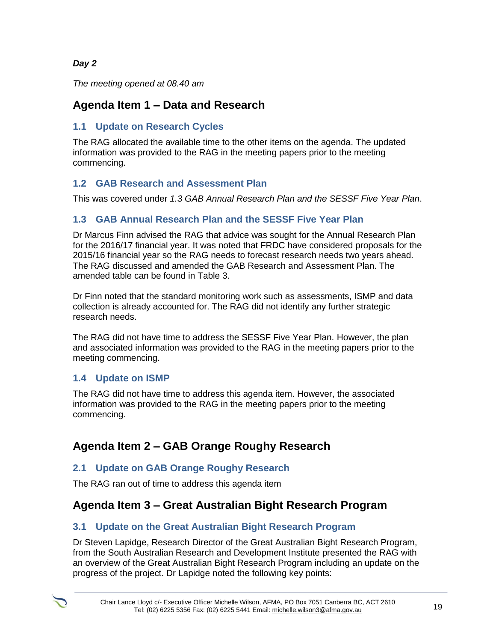## *Day 2*

*The meeting opened at 08.40 am* 

## **Agenda Item 1 – Data and Research**

## **1.1 Update on Research Cycles**

The RAG allocated the available time to the other items on the agenda. The updated information was provided to the RAG in the meeting papers prior to the meeting commencing.

## **1.2 GAB Research and Assessment Plan**

This was covered under *1.3 GAB Annual Research Plan and the SESSF Five Year Plan*.

## **1.3 GAB Annual Research Plan and the SESSF Five Year Plan**

Dr Marcus Finn advised the RAG that advice was sought for the Annual Research Plan for the 2016/17 financial year. It was noted that FRDC have considered proposals for the 2015/16 financial year so the RAG needs to forecast research needs two years ahead. The RAG discussed and amended the GAB Research and Assessment Plan. The amended table can be found in Table 3.

Dr Finn noted that the standard monitoring work such as assessments, ISMP and data collection is already accounted for. The RAG did not identify any further strategic research needs.

The RAG did not have time to address the SESSF Five Year Plan. However, the plan and associated information was provided to the RAG in the meeting papers prior to the meeting commencing.

## **1.4 Update on ISMP**

The RAG did not have time to address this agenda item. However, the associated information was provided to the RAG in the meeting papers prior to the meeting commencing.

## **Agenda Item 2 – GAB Orange Roughy Research**

## **2.1 Update on GAB Orange Roughy Research**

The RAG ran out of time to address this agenda item

## **Agenda Item 3 – Great Australian Bight Research Program**

## **3.1 Update on the Great Australian Bight Research Program**

Dr Steven Lapidge, Research Director of the Great Australian Bight Research Program, from the South Australian Research and Development Institute presented the RAG with an overview of the Great Australian Bight Research Program including an update on the progress of the project. Dr Lapidge noted the following key points: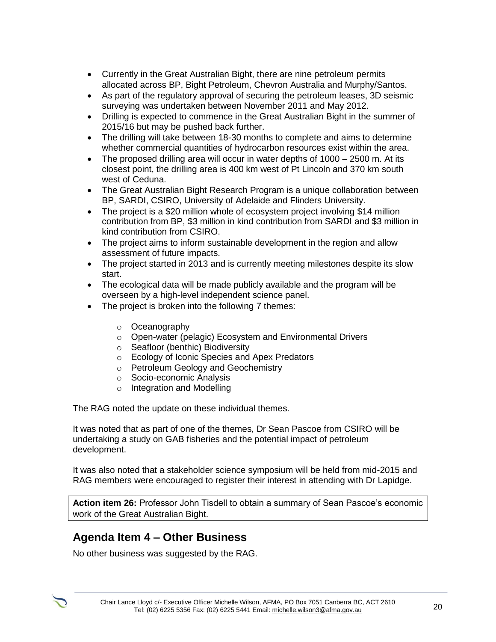- Currently in the Great Australian Bight, there are nine petroleum permits allocated across BP, Bight Petroleum, Chevron Australia and Murphy/Santos.
- As part of the regulatory approval of securing the petroleum leases, 3D seismic surveying was undertaken between November 2011 and May 2012.
- Drilling is expected to commence in the Great Australian Bight in the summer of 2015/16 but may be pushed back further.
- The drilling will take between 18-30 months to complete and aims to determine whether commercial quantities of hydrocarbon resources exist within the area.
- The proposed drilling area will occur in water depths of 1000 2500 m. At its closest point, the drilling area is 400 km west of Pt Lincoln and 370 km south west of Ceduna.
- The Great Australian Bight Research Program is a unique collaboration between BP, SARDI, CSIRO, University of Adelaide and Flinders University.
- The project is a \$20 million whole of ecosystem project involving \$14 million contribution from BP, \$3 million in kind contribution from SARDI and \$3 million in kind contribution from CSIRO.
- The project aims to inform sustainable development in the region and allow assessment of future impacts.
- The project started in 2013 and is currently meeting milestones despite its slow start.
- The ecological data will be made publicly available and the program will be overseen by a high-level independent science panel.
- The project is broken into the following 7 themes:
	- o Oceanography
	- o Open-water (pelagic) Ecosystem and Environmental Drivers
	- o Seafloor (benthic) Biodiversity
	- o Ecology of Iconic Species and Apex Predators
	- o Petroleum Geology and Geochemistry
	- o Socio-economic Analysis
	- o Integration and Modelling

The RAG noted the update on these individual themes.

It was noted that as part of one of the themes, Dr Sean Pascoe from CSIRO will be undertaking a study on GAB fisheries and the potential impact of petroleum development.

It was also noted that a stakeholder science symposium will be held from mid-2015 and RAG members were encouraged to register their interest in attending with Dr Lapidge.

**Action item 26:** Professor John Tisdell to obtain a summary of Sean Pascoe's economic work of the Great Australian Bight.

## **Agenda Item 4 – Other Business**

No other business was suggested by the RAG.

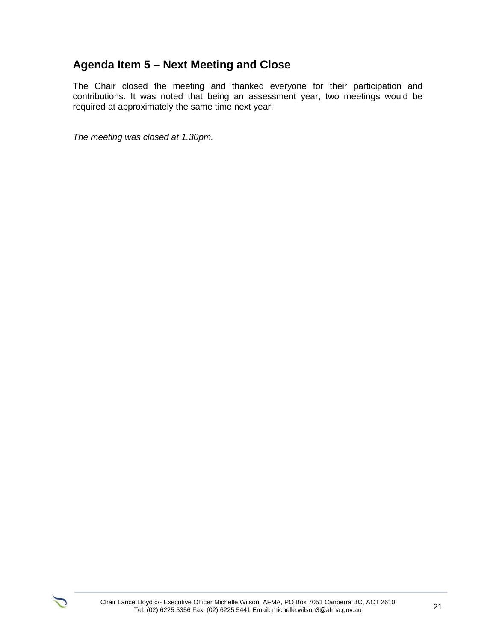## **Agenda Item 5 – Next Meeting and Close**

The Chair closed the meeting and thanked everyone for their participation and contributions. It was noted that being an assessment year, two meetings would be required at approximately the same time next year.

*The meeting was closed at 1.30pm.*

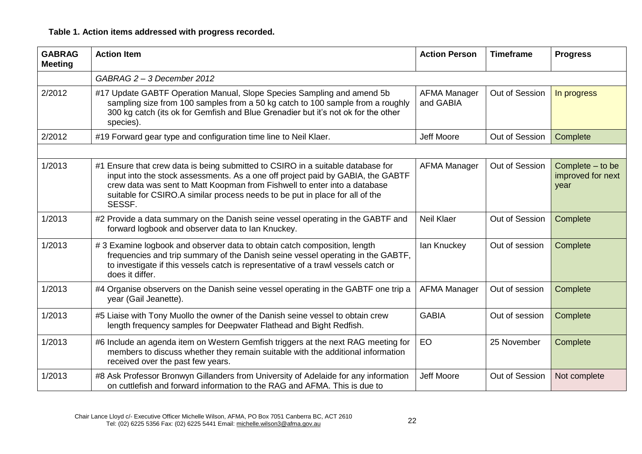## **Table 1. Action items addressed with progress recorded.**

| <b>GABRAG</b><br><b>Meeting</b> | <b>Action Item</b>                                                                                                                                                                                                                                                                                                                        | <b>Action Person</b>             | <b>Timeframe</b> | <b>Progress</b>                               |
|---------------------------------|-------------------------------------------------------------------------------------------------------------------------------------------------------------------------------------------------------------------------------------------------------------------------------------------------------------------------------------------|----------------------------------|------------------|-----------------------------------------------|
|                                 | GABRAG 2 - 3 December 2012                                                                                                                                                                                                                                                                                                                |                                  |                  |                                               |
| 2/2012                          | #17 Update GABTF Operation Manual, Slope Species Sampling and amend 5b<br>sampling size from 100 samples from a 50 kg catch to 100 sample from a roughly<br>300 kg catch (its ok for Gemfish and Blue Grenadier but it's not ok for the other<br>species).                                                                                | <b>AFMA Manager</b><br>and GABIA | Out of Session   | In progress                                   |
| 2/2012                          | #19 Forward gear type and configuration time line to Neil Klaer.                                                                                                                                                                                                                                                                          | <b>Jeff Moore</b>                | Out of Session   | Complete                                      |
|                                 |                                                                                                                                                                                                                                                                                                                                           |                                  |                  |                                               |
| 1/2013                          | #1 Ensure that crew data is being submitted to CSIRO in a suitable database for<br>input into the stock assessments. As a one off project paid by GABIA, the GABTF<br>crew data was sent to Matt Koopman from Fishwell to enter into a database<br>suitable for CSIRO.A similar process needs to be put in place for all of the<br>SESSF. | <b>AFMA Manager</b>              | Out of Session   | Complete - to be<br>improved for next<br>year |
| 1/2013                          | #2 Provide a data summary on the Danish seine vessel operating in the GABTF and<br>forward logbook and observer data to Ian Knuckey.                                                                                                                                                                                                      | <b>Neil Klaer</b>                | Out of Session   | Complete                                      |
| 1/2013                          | #3 Examine logbook and observer data to obtain catch composition, length<br>frequencies and trip summary of the Danish seine vessel operating in the GABTF,<br>to investigate if this vessels catch is representative of a trawl vessels catch or<br>does it differ.                                                                      | lan Knuckey                      | Out of session   | Complete                                      |
| 1/2013                          | #4 Organise observers on the Danish seine vessel operating in the GABTF one trip a<br>year (Gail Jeanette).                                                                                                                                                                                                                               | <b>AFMA Manager</b>              | Out of session   | Complete                                      |
| 1/2013                          | #5 Liaise with Tony Muollo the owner of the Danish seine vessel to obtain crew<br>length frequency samples for Deepwater Flathead and Bight Redfish.                                                                                                                                                                                      | <b>GABIA</b>                     | Out of session   | Complete                                      |
| 1/2013                          | #6 Include an agenda item on Western Gemfish triggers at the next RAG meeting for<br>members to discuss whether they remain suitable with the additional information<br>received over the past few years.                                                                                                                                 | EO                               | 25 November      | Complete                                      |
| 1/2013                          | #8 Ask Professor Bronwyn Gillanders from University of Adelaide for any information<br>on cuttlefish and forward information to the RAG and AFMA. This is due to                                                                                                                                                                          | <b>Jeff Moore</b>                | Out of Session   | Not complete                                  |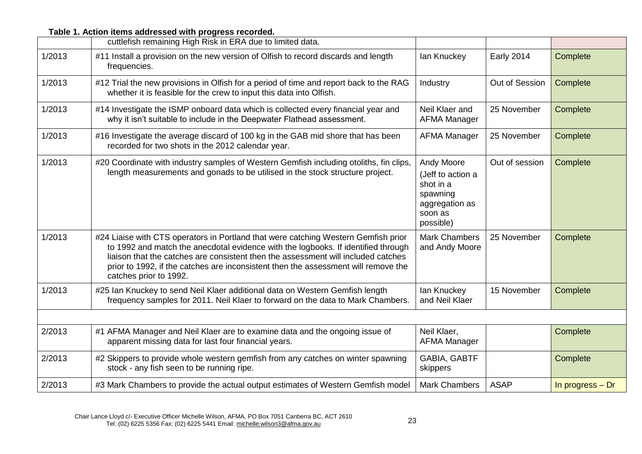|        | cuttlefish remaining High Risk in ERA due to limited data.                                                                                                                                                                                                                                                                                                                   |                                                                                                    |                   |                  |
|--------|------------------------------------------------------------------------------------------------------------------------------------------------------------------------------------------------------------------------------------------------------------------------------------------------------------------------------------------------------------------------------|----------------------------------------------------------------------------------------------------|-------------------|------------------|
| 1/2013 | #11 Install a provision on the new version of Olfish to record discards and length<br>frequencies.                                                                                                                                                                                                                                                                           | lan Knuckey                                                                                        | <b>Early 2014</b> | Complete         |
| 1/2013 | #12 Trial the new provisions in Olfish for a period of time and report back to the RAG<br>whether it is feasible for the crew to input this data into Olfish.                                                                                                                                                                                                                | Industry                                                                                           | Out of Session    | Complete         |
| 1/2013 | #14 Investigate the ISMP onboard data which is collected every financial year and<br>why it isn't suitable to include in the Deepwater Flathead assessment.                                                                                                                                                                                                                  | Neil Klaer and<br><b>AFMA Manager</b>                                                              | 25 November       | Complete         |
| 1/2013 | #16 Investigate the average discard of 100 kg in the GAB mid shore that has been<br>recorded for two shots in the 2012 calendar year.                                                                                                                                                                                                                                        | <b>AFMA Manager</b>                                                                                | 25 November       | Complete         |
| 1/2013 | #20 Coordinate with industry samples of Western Gemfish including otoliths, fin clips,<br>length measurements and gonads to be utilised in the stock structure project.                                                                                                                                                                                                      | Andy Moore<br>(Jeff to action a<br>shot in a<br>spawning<br>aggregation as<br>soon as<br>possible) | Out of session    | Complete         |
| 1/2013 | #24 Liaise with CTS operators in Portland that were catching Western Gemfish prior<br>to 1992 and match the anecdotal evidence with the logbooks. If identified through<br>liaison that the catches are consistent then the assessment will included catches<br>prior to 1992, if the catches are inconsistent then the assessment will remove the<br>catches prior to 1992. | <b>Mark Chambers</b><br>and Andy Moore                                                             | 25 November       | Complete         |
| 1/2013 | #25 Ian Knuckey to send Neil Klaer additional data on Western Gemfish length<br>frequency samples for 2011. Neil Klaer to forward on the data to Mark Chambers.                                                                                                                                                                                                              | lan Knuckey<br>and Neil Klaer                                                                      | 15 November       | Complete         |
|        |                                                                                                                                                                                                                                                                                                                                                                              |                                                                                                    |                   |                  |
| 2/2013 | #1 AFMA Manager and Neil Klaer are to examine data and the ongoing issue of<br>apparent missing data for last four financial years.                                                                                                                                                                                                                                          | Neil Klaer,<br><b>AFMA Manager</b>                                                                 |                   | Complete         |
| 2/2013 | #2 Skippers to provide whole western gemfish from any catches on winter spawning<br>stock - any fish seen to be running ripe.                                                                                                                                                                                                                                                | GABIA, GABTF<br>skippers                                                                           |                   | Complete         |
| 2/2013 | #3 Mark Chambers to provide the actual output estimates of Western Gemfish model                                                                                                                                                                                                                                                                                             | <b>Mark Chambers</b>                                                                               | <b>ASAP</b>       | In progress - Dr |

## **Table 1. Action items addressed with progress recorded.**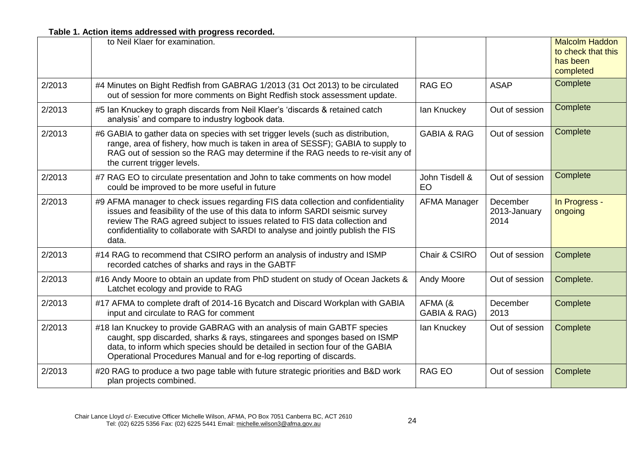**Table 1. Action items addressed with progress recorded.** 

|        | to Neil Klaer for examination.                                                                                                                                                                                                                                                                                                                |                             |                                  | <b>Malcolm Haddon</b><br>to check that this<br>has been<br>completed |
|--------|-----------------------------------------------------------------------------------------------------------------------------------------------------------------------------------------------------------------------------------------------------------------------------------------------------------------------------------------------|-----------------------------|----------------------------------|----------------------------------------------------------------------|
| 2/2013 | #4 Minutes on Bight Redfish from GABRAG 1/2013 (31 Oct 2013) to be circulated<br>out of session for more comments on Bight Redfish stock assessment update.                                                                                                                                                                                   | <b>RAG EO</b>               | <b>ASAP</b>                      | Complete                                                             |
| 2/2013 | #5 Ian Knuckey to graph discards from Neil Klaer's 'discards & retained catch<br>analysis' and compare to industry logbook data.                                                                                                                                                                                                              | lan Knuckey                 | Out of session                   | Complete                                                             |
| 2/2013 | #6 GABIA to gather data on species with set trigger levels (such as distribution,<br>range, area of fishery, how much is taken in area of SESSF); GABIA to supply to<br>RAG out of session so the RAG may determine if the RAG needs to re-visit any of<br>the current trigger levels.                                                        | <b>GABIA &amp; RAG</b>      | Out of session                   | Complete                                                             |
| 2/2013 | #7 RAG EO to circulate presentation and John to take comments on how model<br>could be improved to be more useful in future                                                                                                                                                                                                                   | John Tisdell &<br><b>EO</b> | Out of session                   | Complete                                                             |
| 2/2013 | #9 AFMA manager to check issues regarding FIS data collection and confidentiality<br>issues and feasibility of the use of this data to inform SARDI seismic survey<br>review The RAG agreed subject to issues related to FIS data collection and<br>confidentiality to collaborate with SARDI to analyse and jointly publish the FIS<br>data. | <b>AFMA Manager</b>         | December<br>2013-January<br>2014 | In Progress -<br>ongoing                                             |
| 2/2013 | #14 RAG to recommend that CSIRO perform an analysis of industry and ISMP<br>recorded catches of sharks and rays in the GABTF                                                                                                                                                                                                                  | Chair & CSIRO               | Out of session                   | Complete                                                             |
| 2/2013 | #16 Andy Moore to obtain an update from PhD student on study of Ocean Jackets &<br>Latchet ecology and provide to RAG                                                                                                                                                                                                                         | Andy Moore                  | Out of session                   | Complete.                                                            |
| 2/2013 | #17 AFMA to complete draft of 2014-16 Bycatch and Discard Workplan with GABIA<br>input and circulate to RAG for comment                                                                                                                                                                                                                       | AFMA (&<br>GABIA & RAG)     | December<br>2013                 | Complete                                                             |
| 2/2013 | #18 Ian Knuckey to provide GABRAG with an analysis of main GABTF species<br>caught, spp discarded, sharks & rays, stingarees and sponges based on ISMP<br>data, to inform which species should be detailed in section four of the GABIA<br>Operational Procedures Manual and for e-log reporting of discards.                                 | lan Knuckey                 | Out of session                   | Complete                                                             |
| 2/2013 | #20 RAG to produce a two page table with future strategic priorities and B&D work<br>plan projects combined.                                                                                                                                                                                                                                  | <b>RAG EO</b>               | Out of session                   | Complete                                                             |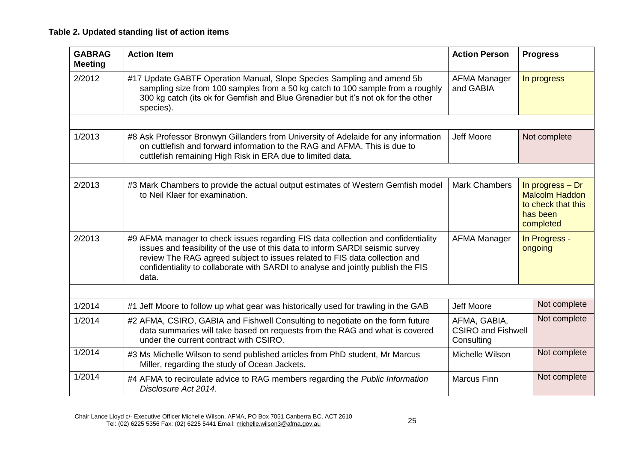## **Table 2. Updated standing list of action items**

| <b>GABRAG</b><br><b>Meeting</b> | <b>Action Item</b>                                                                                                                                                                                                                                                                                                                            | <b>Action Person</b>             | <b>Progress</b>          |  |  |  |
|---------------------------------|-----------------------------------------------------------------------------------------------------------------------------------------------------------------------------------------------------------------------------------------------------------------------------------------------------------------------------------------------|----------------------------------|--------------------------|--|--|--|
| 2/2012                          | #17 Update GABTF Operation Manual, Slope Species Sampling and amend 5b<br>sampling size from 100 samples from a 50 kg catch to 100 sample from a roughly<br>300 kg catch (its ok for Gemfish and Blue Grenadier but it's not ok for the other<br>species).                                                                                    | <b>AFMA Manager</b><br>and GABIA | In progress              |  |  |  |
|                                 |                                                                                                                                                                                                                                                                                                                                               |                                  |                          |  |  |  |
| 1/2013                          | #8 Ask Professor Bronwyn Gillanders from University of Adelaide for any information<br>on cuttlefish and forward information to the RAG and AFMA. This is due to<br>cuttlefish remaining High Risk in ERA due to limited data.                                                                                                                | <b>Jeff Moore</b>                | Not complete             |  |  |  |
|                                 |                                                                                                                                                                                                                                                                                                                                               |                                  |                          |  |  |  |
| 2/2013                          | <b>Mark Chambers</b><br>#3 Mark Chambers to provide the actual output estimates of Western Gemfish model<br>In progress - Dr<br>to Neil Klaer for examination.<br><b>Malcolm Haddon</b><br>to check that this<br>has been<br>completed                                                                                                        |                                  |                          |  |  |  |
| 2/2013                          | #9 AFMA manager to check issues regarding FIS data collection and confidentiality<br>issues and feasibility of the use of this data to inform SARDI seismic survey<br>review The RAG agreed subject to issues related to FIS data collection and<br>confidentiality to collaborate with SARDI to analyse and jointly publish the FIS<br>data. | <b>AFMA Manager</b>              | In Progress -<br>ongoing |  |  |  |
|                                 |                                                                                                                                                                                                                                                                                                                                               |                                  |                          |  |  |  |
| 1/2014                          | #1 Jeff Moore to follow up what gear was historically used for trawling in the GAB                                                                                                                                                                                                                                                            | Jeff Moore                       | Not complete             |  |  |  |
| 1/2014                          | #2 AFMA, CSIRO, GABIA and Fishwell Consulting to negotiate on the form future<br>AFMA, GABIA,<br>data summaries will take based on requests from the RAG and what is covered<br><b>CSIRO and Fishwell</b><br>under the current contract with CSIRO.<br>Consulting                                                                             |                                  |                          |  |  |  |
| 1/2014                          | Michelle Wilson<br>#3 Ms Michelle Wilson to send published articles from PhD student, Mr Marcus<br>Miller, regarding the study of Ocean Jackets.                                                                                                                                                                                              |                                  |                          |  |  |  |
| 1/2014                          | #4 AFMA to recirculate advice to RAG members regarding the Public Information<br>Disclosure Act 2014.                                                                                                                                                                                                                                         | <b>Marcus Finn</b>               | Not complete             |  |  |  |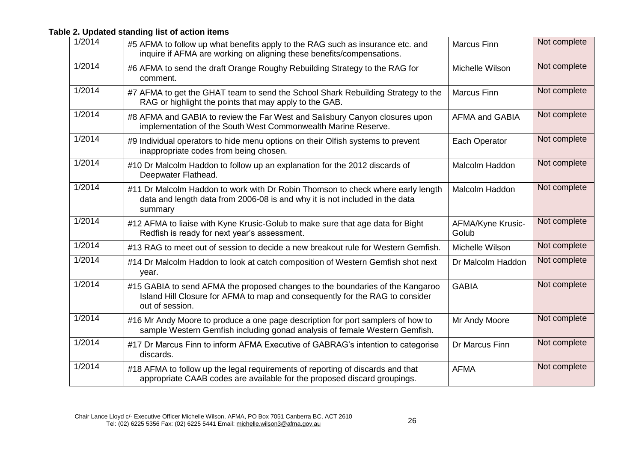### **Table 2. Updated standing list of action items**

| 1/2014 | #5 AFMA to follow up what benefits apply to the RAG such as insurance etc. and<br>inquire if AFMA are working on aligning these benefits/compensations.                          | <b>Marcus Finn</b>         | Not complete |
|--------|----------------------------------------------------------------------------------------------------------------------------------------------------------------------------------|----------------------------|--------------|
| 1/2014 | #6 AFMA to send the draft Orange Roughy Rebuilding Strategy to the RAG for<br>comment.                                                                                           | Michelle Wilson            | Not complete |
| 1/2014 | #7 AFMA to get the GHAT team to send the School Shark Rebuilding Strategy to the<br>RAG or highlight the points that may apply to the GAB.                                       | <b>Marcus Finn</b>         | Not complete |
| 1/2014 | #8 AFMA and GABIA to review the Far West and Salisbury Canyon closures upon<br>implementation of the South West Commonwealth Marine Reserve.                                     | <b>AFMA and GABIA</b>      | Not complete |
| 1/2014 | #9 Individual operators to hide menu options on their Olfish systems to prevent<br>inappropriate codes from being chosen.                                                        | Each Operator              | Not complete |
| 1/2014 | #10 Dr Malcolm Haddon to follow up an explanation for the 2012 discards of<br>Deepwater Flathead.                                                                                | <b>Malcolm Haddon</b>      | Not complete |
| 1/2014 | #11 Dr Malcolm Haddon to work with Dr Robin Thomson to check where early length<br>data and length data from 2006-08 is and why it is not included in the data<br>summary        | <b>Malcolm Haddon</b>      | Not complete |
| 1/2014 | #12 AFMA to liaise with Kyne Krusic-Golub to make sure that age data for Bight<br>Redfish is ready for next year's assessment.                                                   | AFMA/Kyne Krusic-<br>Golub | Not complete |
| 1/2014 | #13 RAG to meet out of session to decide a new breakout rule for Western Gemfish.                                                                                                | Michelle Wilson            | Not complete |
| 1/2014 | #14 Dr Malcolm Haddon to look at catch composition of Western Gemfish shot next<br>year.                                                                                         | Dr Malcolm Haddon          | Not complete |
| 1/2014 | #15 GABIA to send AFMA the proposed changes to the boundaries of the Kangaroo<br>Island Hill Closure for AFMA to map and consequently for the RAG to consider<br>out of session. | <b>GABIA</b>               | Not complete |
| 1/2014 | #16 Mr Andy Moore to produce a one page description for port samplers of how to<br>sample Western Gemfish including gonad analysis of female Western Gemfish.                    | Mr Andy Moore              | Not complete |
| 1/2014 | #17 Dr Marcus Finn to inform AFMA Executive of GABRAG's intention to categorise<br>discards.                                                                                     | Dr Marcus Finn             | Not complete |
| 1/2014 | #18 AFMA to follow up the legal requirements of reporting of discards and that<br>appropriate CAAB codes are available for the proposed discard groupings.                       | <b>AFMA</b>                | Not complete |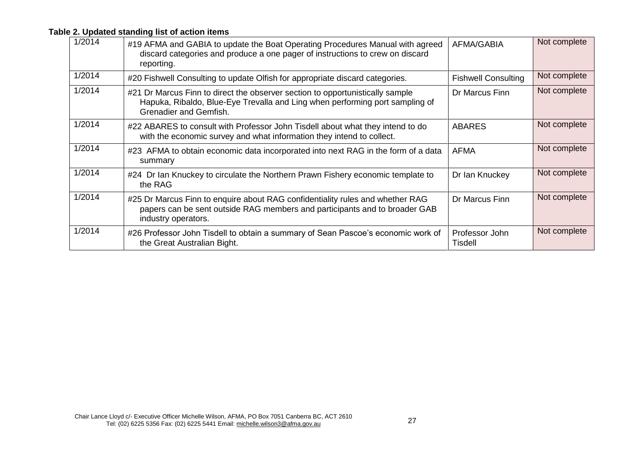## **Table 2. Updated standing list of action items**

| 1/2014 | #19 AFMA and GABIA to update the Boat Operating Procedures Manual with agreed<br>discard categories and produce a one pager of instructions to crew on discard<br>reporting.            | <b>AFMA/GABIA</b>                | Not complete |
|--------|-----------------------------------------------------------------------------------------------------------------------------------------------------------------------------------------|----------------------------------|--------------|
| 1/2014 | #20 Fishwell Consulting to update Olfish for appropriate discard categories.                                                                                                            | <b>Fishwell Consulting</b>       | Not complete |
| 1/2014 | #21 Dr Marcus Finn to direct the observer section to opportunistically sample<br>Hapuka, Ribaldo, Blue-Eye Trevalla and Ling when performing port sampling of<br>Grenadier and Gemfish. | Dr Marcus Finn                   | Not complete |
| 1/2014 | #22 ABARES to consult with Professor John Tisdell about what they intend to do<br>with the economic survey and what information they intend to collect.                                 | <b>ABARES</b>                    | Not complete |
| 1/2014 | #23 AFMA to obtain economic data incorporated into next RAG in the form of a data<br>summary                                                                                            | <b>AFMA</b>                      | Not complete |
| 1/2014 | #24 Dr Ian Knuckey to circulate the Northern Prawn Fishery economic template to<br>the RAG                                                                                              | Dr Ian Knuckey                   | Not complete |
| 1/2014 | #25 Dr Marcus Finn to enquire about RAG confidentiality rules and whether RAG<br>papers can be sent outside RAG members and participants and to broader GAB<br>industry operators.      | Dr Marcus Finn                   | Not complete |
| 1/2014 | #26 Professor John Tisdell to obtain a summary of Sean Pascoe's economic work of<br>the Great Australian Bight.                                                                         | Professor John<br><b>Tisdell</b> | Not complete |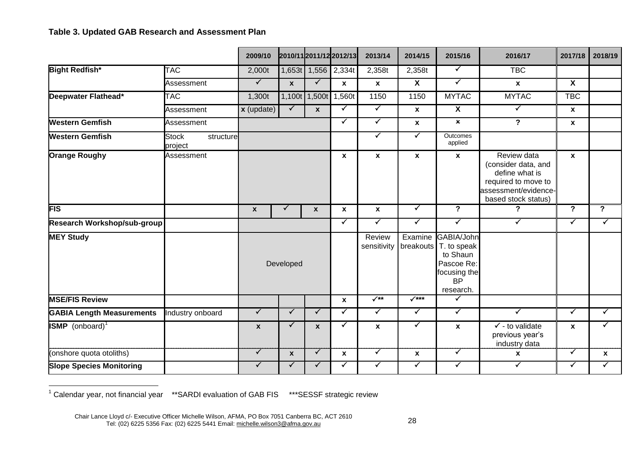#### **Table 3. Updated GAB Research and Assessment Plan**

|                                    |                                      | 2009/10            |                  |                  | 2010/11 2011/12 2012/13 | 2013/14                   | 2014/15                 | 2015/16                                                                                                    | 2016/17                                                                                                                    | 2017/18                 | 2018/19                 |
|------------------------------------|--------------------------------------|--------------------|------------------|------------------|-------------------------|---------------------------|-------------------------|------------------------------------------------------------------------------------------------------------|----------------------------------------------------------------------------------------------------------------------------|-------------------------|-------------------------|
| <b>Bight Redfish*</b>              | <b>TAC</b>                           | 2,000t             |                  |                  | 1,653t 1,556 2,334t     | 2,358t                    | 2,358t                  | $\checkmark$                                                                                               | <b>TBC</b>                                                                                                                 |                         |                         |
|                                    | Assessment                           | $\sqrt{}$          | $\mathbf{x}$     | $\checkmark$     | $\mathbf{x}$            | $\boldsymbol{\mathsf{x}}$ | $\overline{\mathbf{X}}$ | $\blacktriangledown$                                                                                       | $\mathbf{x}$                                                                                                               | X                       |                         |
| Deepwater Flathead*                | <b>TAC</b>                           | 1,300t             |                  |                  | 1,100t 1,500t 1,560t    | 1150                      | 1150                    | <b>MYTAC</b>                                                                                               | <b>MYTAC</b>                                                                                                               | <b>TBC</b>              |                         |
|                                    | Assessment                           | $x$ (update)       | $\checkmark$     | $\boldsymbol{x}$ | ✓                       | $\blacktriangledown$      | $\mathbf{x}$            | $\overline{\mathbf{X}}$                                                                                    | $\blacktriangledown$                                                                                                       | $\mathbf x$             |                         |
| <b>Western Gemfish</b>             | Assessment                           |                    |                  |                  | ✓                       | $\checkmark$              | $\pmb{\chi}$            | $\pmb{\times}$                                                                                             | $\overline{\mathbf{P}}$                                                                                                    | $\boldsymbol{x}$        |                         |
| <b>Western Gemfish</b>             | <b>Stock</b><br>structure<br>project |                    |                  |                  |                         | ✓                         | $\checkmark$            | Outcomes<br>applied                                                                                        |                                                                                                                            |                         |                         |
| <b>Orange Roughy</b>               | Assessment                           |                    |                  |                  | $\boldsymbol{x}$        | $\mathbf{x}$              | $\mathbf{x}$            | $\mathbf{x}$                                                                                               | Review data<br>(consider data, and<br>define what is<br>required to move to<br>assessment/evidence-<br>based stock status) | $\mathbf{x}$            |                         |
| <b>FIS</b>                         |                                      | $\mathbf{x}$       | ✓                | $\boldsymbol{x}$ | $\mathbf{x}$            | $\mathbf{x}$              | $\checkmark$            | $\overline{\mathbf{P}}$                                                                                    | ?                                                                                                                          | $\overline{\mathbf{?}}$ | $\overline{\mathbf{?}}$ |
| <b>Research Workshop/sub-group</b> |                                      |                    |                  |                  | $\blacktriangledown$    | $\checkmark$              | $\blacktriangledown$    | $\blacktriangledown$                                                                                       | $\blacktriangledown$                                                                                                       | $\blacktriangledown$    | $\blacktriangledown$    |
| <b>MEY Study</b>                   |                                      |                    | Developed        |                  |                         | Review<br>sensitivity     | Examine                 | GABIA/John<br>breakouts $T$ . to speak<br>to Shaun<br>Pascoe Re:<br>focusing the<br><b>BP</b><br>research. |                                                                                                                            |                         |                         |
| <b>MSE/FIS Review</b>              |                                      |                    |                  |                  | $\mathbf{x}$            | $\sqrt{**}$               | $\sqrt{***}$            | ✓                                                                                                          |                                                                                                                            |                         |                         |
| <b>GABIA Length Measurements</b>   | Industry onboard                     | $\checkmark$       | $\checkmark$     | $\checkmark$     | $\checkmark$            | $\blacktriangledown$      | $\checkmark$            | $\checkmark$                                                                                               | $\checkmark$                                                                                                               | $\checkmark$            | $\checkmark$            |
| <b>ISMP</b> (onboard) <sup>1</sup> |                                      | $\pmb{\mathsf{x}}$ | ✓                | $\mathbf x$      | ✓                       | $\boldsymbol{x}$          | ✓                       | $\mathbf{x}$                                                                                               | $\checkmark$ - to validate<br>previous year's<br>industry data                                                             | $\boldsymbol{x}$        | ✓                       |
| (onshore quota otoliths)           |                                      | $\sqrt{}$          | $\boldsymbol{x}$ | $\checkmark$     | $\mathbf{x}$            | $\checkmark$              | $\pmb{\mathsf{x}}$      | $\checkmark$                                                                                               | $\boldsymbol{x}$                                                                                                           | $\checkmark$            | $\boldsymbol{x}$        |
| <b>Slope Species Monitoring</b>    |                                      | $\checkmark$       |                  | $\checkmark$     | $\checkmark$            | $\checkmark$              | $\blacktriangledown$    | $\checkmark$                                                                                               | $\checkmark$                                                                                                               | $\checkmark$            | ✓                       |

 $1$  Calendar year, not financial year  $*$ \*SARDI evaluation of GAB FIS  $*$ \*\*SESSF strategic review

 $\overline{a}$